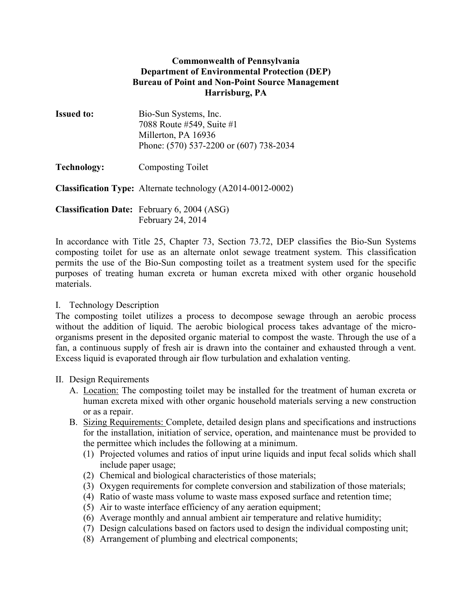## Commonwealth of Pennsylvania Department of Environmental Protection (DEP) Bureau of Point and Non-Point Source Management Harrisburg, PA

| <b>Issued to:</b> | Bio-Sun Systems, Inc.                   |
|-------------------|-----------------------------------------|
|                   | 7088 Route #549, Suite #1               |
|                   | Millerton, PA 16936                     |
|                   | Phone: (570) 537-2200 or (607) 738-2034 |
|                   |                                         |

Technology: Composting Toilet

Classification Type: Alternate technology (A2014-0012-0002)

Classification Date: February 6, 2004 (ASG) February 24, 2014

In accordance with Title 25, Chapter 73, Section 73.72, DEP classifies the Bio-Sun Systems composting toilet for use as an alternate onlot sewage treatment system. This classification permits the use of the Bio-Sun composting toilet as a treatment system used for the specific purposes of treating human excreta or human excreta mixed with other organic household materials.

## I. Technology Description

The composting toilet utilizes a process to decompose sewage through an aerobic process without the addition of liquid. The aerobic biological process takes advantage of the microorganisms present in the deposited organic material to compost the waste. Through the use of a fan, a continuous supply of fresh air is drawn into the container and exhausted through a vent. Excess liquid is evaporated through air flow turbulation and exhalation venting.

## II. Design Requirements

- A. Location: The composting toilet may be installed for the treatment of human excreta or human excreta mixed with other organic household materials serving a new construction or as a repair.
- B. Sizing Requirements: Complete, detailed design plans and specifications and instructions for the installation, initiation of service, operation, and maintenance must be provided to the permittee which includes the following at a minimum.
	- (1) Projected volumes and ratios of input urine liquids and input fecal solids which shall include paper usage;
	- (2) Chemical and biological characteristics of those materials;
	- (3) Oxygen requirements for complete conversion and stabilization of those materials;
	- (4) Ratio of waste mass volume to waste mass exposed surface and retention time;
	- (5) Air to waste interface efficiency of any aeration equipment;
	- (6) Average monthly and annual ambient air temperature and relative humidity;
	- (7) Design calculations based on factors used to design the individual composting unit;
	- (8) Arrangement of plumbing and electrical components;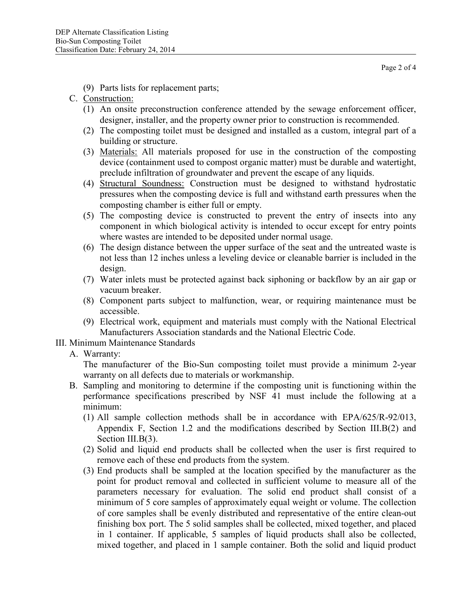Page 2 of 4

- (9) Parts lists for replacement parts;
- C. Construction:
	- (1) An onsite preconstruction conference attended by the sewage enforcement officer, designer, installer, and the property owner prior to construction is recommended.
	- (2) The composting toilet must be designed and installed as a custom, integral part of a building or structure.
	- (3) Materials: All materials proposed for use in the construction of the composting device (containment used to compost organic matter) must be durable and watertight, preclude infiltration of groundwater and prevent the escape of any liquids.
	- (4) Structural Soundness: Construction must be designed to withstand hydrostatic pressures when the composting device is full and withstand earth pressures when the composting chamber is either full or empty.
	- (5) The composting device is constructed to prevent the entry of insects into any component in which biological activity is intended to occur except for entry points where wastes are intended to be deposited under normal usage.
	- (6) The design distance between the upper surface of the seat and the untreated waste is not less than 12 inches unless a leveling device or cleanable barrier is included in the design.
	- (7) Water inlets must be protected against back siphoning or backflow by an air gap or vacuum breaker.
	- (8) Component parts subject to malfunction, wear, or requiring maintenance must be accessible.
	- (9) Electrical work, equipment and materials must comply with the National Electrical Manufacturers Association standards and the National Electric Code.
- III. Minimum Maintenance Standards
	- A. Warranty:

The manufacturer of the Bio-Sun composting toilet must provide a minimum 2-year warranty on all defects due to materials or workmanship.

- B. Sampling and monitoring to determine if the composting unit is functioning within the performance specifications prescribed by NSF 41 must include the following at a minimum:
	- (1) All sample collection methods shall be in accordance with EPA/625/R-92/013, Appendix F, Section 1.2 and the modifications described by Section III.B(2) and Section III.B(3).
	- (2) Solid and liquid end products shall be collected when the user is first required to remove each of these end products from the system.
	- (3) End products shall be sampled at the location specified by the manufacturer as the point for product removal and collected in sufficient volume to measure all of the parameters necessary for evaluation. The solid end product shall consist of a minimum of 5 core samples of approximately equal weight or volume. The collection of core samples shall be evenly distributed and representative of the entire clean-out finishing box port. The 5 solid samples shall be collected, mixed together, and placed in 1 container. If applicable, 5 samples of liquid products shall also be collected, mixed together, and placed in 1 sample container. Both the solid and liquid product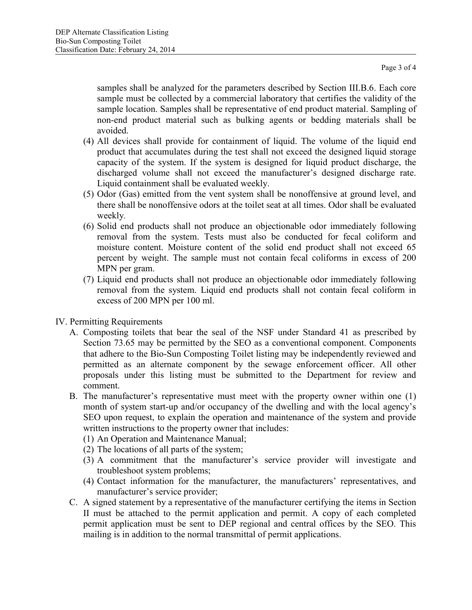samples shall be analyzed for the parameters described by Section III.B.6. Each core sample must be collected by a commercial laboratory that certifies the validity of the sample location. Samples shall be representative of end product material. Sampling of non-end product material such as bulking agents or bedding materials shall be avoided.

- (4) All devices shall provide for containment of liquid. The volume of the liquid end product that accumulates during the test shall not exceed the designed liquid storage capacity of the system. If the system is designed for liquid product discharge, the discharged volume shall not exceed the manufacturer's designed discharge rate. Liquid containment shall be evaluated weekly.
- (5) Odor (Gas) emitted from the vent system shall be nonoffensive at ground level, and there shall be nonoffensive odors at the toilet seat at all times. Odor shall be evaluated weekly*.*
- (6) Solid end products shall not produce an objectionable odor immediately following removal from the system. Tests must also be conducted for fecal coliform and moisture content. Moisture content of the solid end product shall not exceed 65 percent by weight. The sample must not contain fecal coliforms in excess of 200 MPN per gram.
- (7) Liquid end products shall not produce an objectionable odor immediately following removal from the system. Liquid end products shall not contain fecal coliform in excess of 200 MPN per 100 ml.
- IV. Permitting Requirements
	- A. Composting toilets that bear the seal of the NSF under Standard 41 as prescribed by Section 73.65 may be permitted by the SEO as a conventional component. Components that adhere to the Bio-Sun Composting Toilet listing may be independently reviewed and permitted as an alternate component by the sewage enforcement officer. All other proposals under this listing must be submitted to the Department for review and comment.
	- B. The manufacturer's representative must meet with the property owner within one (1) month of system start-up and/or occupancy of the dwelling and with the local agency's SEO upon request, to explain the operation and maintenance of the system and provide written instructions to the property owner that includes:
		- (1) An Operation and Maintenance Manual;
		- (2) The locations of all parts of the system;
		- (3) A commitment that the manufacturer's service provider will investigate and troubleshoot system problems;
		- (4) Contact information for the manufacturer, the manufacturers' representatives, and manufacturer's service provider;
	- C. A signed statement by a representative of the manufacturer certifying the items in Section II must be attached to the permit application and permit. A copy of each completed permit application must be sent to DEP regional and central offices by the SEO. This mailing is in addition to the normal transmittal of permit applications.